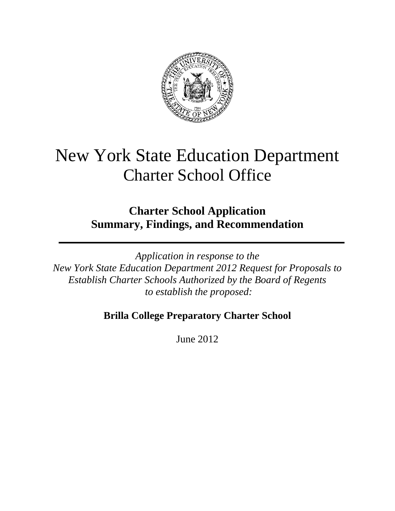

# New York State Education Department Charter School Office

**Charter School Application Summary, Findings, and Recommendation**

*Application in response to the New York State Education Department 2012 Request for Proposals to Establish Charter Schools Authorized by the Board of Regents to establish the proposed:*

# **Brilla College Preparatory Charter School**

June 2012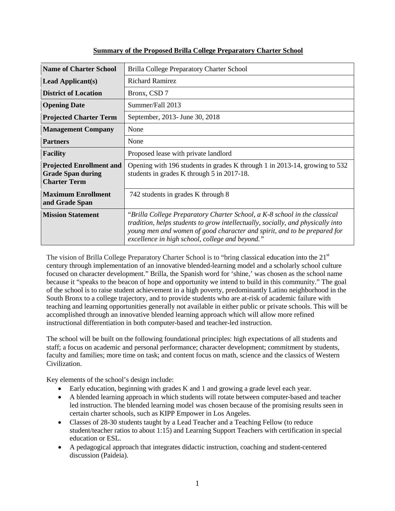| <b>Name of Charter School</b>                                                      | Brilla College Preparatory Charter School                                                                                                                                                                                                                                                   |  |  |
|------------------------------------------------------------------------------------|---------------------------------------------------------------------------------------------------------------------------------------------------------------------------------------------------------------------------------------------------------------------------------------------|--|--|
| <b>Lead Applicant(s)</b>                                                           | <b>Richard Ramirez</b>                                                                                                                                                                                                                                                                      |  |  |
| <b>District of Location</b>                                                        | Bronx, CSD 7                                                                                                                                                                                                                                                                                |  |  |
| <b>Opening Date</b>                                                                | Summer/Fall 2013                                                                                                                                                                                                                                                                            |  |  |
| <b>Projected Charter Term</b>                                                      | September, 2013- June 30, 2018                                                                                                                                                                                                                                                              |  |  |
| <b>Management Company</b>                                                          | None                                                                                                                                                                                                                                                                                        |  |  |
| <b>Partners</b>                                                                    | None                                                                                                                                                                                                                                                                                        |  |  |
| <b>Facility</b>                                                                    | Proposed lease with private landlord                                                                                                                                                                                                                                                        |  |  |
| <b>Projected Enrollment and</b><br><b>Grade Span during</b><br><b>Charter Term</b> | Opening with 196 students in grades K through 1 in 2013-14, growing to 532<br>students in grades K through 5 in 2017-18.                                                                                                                                                                    |  |  |
| <b>Maximum Enrollment</b><br>and Grade Span                                        | 742 students in grades K through 8                                                                                                                                                                                                                                                          |  |  |
| <b>Mission Statement</b>                                                           | "Brilla College Preparatory Charter School, a K-8 school in the classical<br>tradition, helps students to grow intellectually, socially, and physically into<br>young men and women of good character and spirit, and to be prepared for<br>excellence in high school, college and beyond." |  |  |

# **Summary of the Proposed Brilla College Preparatory Charter School**

The vision of Brilla College Preparatory Charter School is to "bring classical education into the 21<sup>st</sup> century through implementation of an innovative blended-learning model and a scholarly school culture focused on character development." Brilla, the Spanish word for 'shine,' was chosen as the school name because it "speaks to the beacon of hope and opportunity we intend to build in this community." The goal of the school is to raise student achievement in a high poverty, predominantly Latino neighborhood in the South Bronx to a college trajectory, and to provide students who are at-risk of academic failure with teaching and learning opportunities generally not available in either public or private schools. This will be accomplished through an innovative blended learning approach which will allow more refined instructional differentiation in both computer-based and teacher-led instruction.

The school will be built on the following foundational principles: high expectations of all students and staff; a focus on academic and personal performance; character development; commitment by students, faculty and families; more time on task; and content focus on math, science and the classics of Western Civilization.

Key elements of the school's design include:

- Early education, beginning with grades K and 1 and growing a grade level each year.
- A blended learning approach in which students will rotate between computer-based and teacher led instruction. The blended learning model was chosen because of the promising results seen in certain charter schools, such as KIPP Empower in Los Angeles.
- Classes of 28-30 students taught by a Lead Teacher and a Teaching Fellow (to reduce student/teacher ratios to about 1:15) and Learning Support Teachers with certification in special education or ESL.
- A pedagogical approach that integrates didactic instruction, coaching and student-centered discussion (Paideia).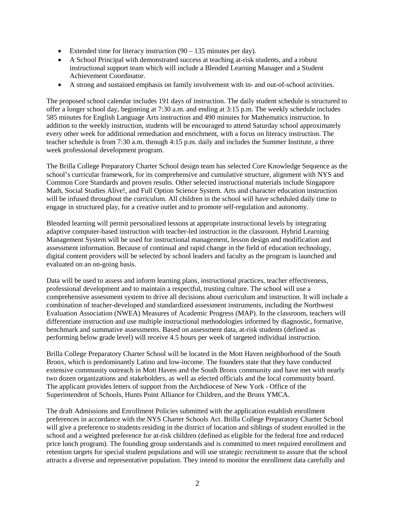- Extended time for literacy instruction  $(90 135$  minutes per day).
- A School Principal with demonstrated success at teaching at-risk students, and a robust instructional support team which will include a Blended Learning Manager and a Student Achievement Coordinator.
- A strong and sustained emphasis on family involvement with in- and out-of-school activities.

The proposed school calendar includes 191 days of instruction. The daily student schedule is structured to offer a longer school day, beginning at 7:30 a.m. and ending at 3:15 p.m. The weekly schedule includes 585 minutes for English Language Arts instruction and 490 minutes for Mathematics instruction. In addition to the weekly instruction, students will be encouraged to attend Saturday school approximately every other week for additional remediation and enrichment, with a focus on literacy instruction. The teacher schedule is from 7:30 a.m. through 4:15 p.m. daily and includes the Summer Institute, a three week professional development program.

The Brilla College Preparatory Charter School design team has selected Core Knowledge Sequence as the school's curricular framework, for its comprehensive and cumulative structure, alignment with NYS and Common Core Standards and proven results. Other selected instructional materials include Singapore Math, Social Studies Alive!, and Full Option Science System. Arts and character education instruction will be infused throughout the curriculum. All children in the school will have scheduled daily time to engage in structured play, for a creative outlet and to promote self-regulation and autonomy.

Blended learning will permit personalized lessons at appropriate instructional levels by integrating adaptive computer-based instruction with teacher-led instruction in the classroom. Hybrid Learning Management System will be used for instructional management, lesson design and modification and assessment information. Because of continual and rapid change in the field of education technology, digital content providers will be selected by school leaders and faculty as the program is launched and evaluated on an on-going basis.

Data will be used to assess and inform learning plans, instructional practices, teacher effectiveness, professional development and to maintain a respectful, trusting culture. The school will use a comprehensive assessment system to drive all decisions about curriculum and instruction. It will include a combination of teacher-developed and standardized assessment instruments, including the Northwest Evaluation Association (NWEA) Measures of Academic Progress (MAP). In the classroom, teachers will differentiate instruction and use multiple instructional methodologies informed by diagnostic, formative, benchmark and summative assessments. Based on assessment data, at-risk students (defined as performing below grade level) will receive 4.5 hours per week of targeted individual instruction.

Brilla College Preparatory Charter School will be located in the Mott Haven neighborhood of the South Bronx, which is predominantly Latino and low-income. The founders state that they have conducted extensive community outreach in Mott Haven and the South Bronx community and have met with nearly two dozen organizations and stakeholders, as well as elected officials and the local community board. The applicant provides letters of support from the Archdiocese of New York - Office of the Superintendent of Schools, Hunts Point Alliance for Children, and the Bronx YMCA.

The draft Admissions and Enrollment Policies submitted with the application establish enrollment preferences in accordance with the NYS Charter Schools Act. Brilla College Preparatory Charter School will give a preference to students residing in the district of location and siblings of student enrolled in the school and a weighted preference for at-risk children (defined as eligible for the federal free and reduced price lunch program). The founding group understands and is committed to meet required enrollment and retention targets for special student populations and will use strategic recruitment to assure that the school attracts a diverse and representative population. They intend to monitor the enrollment data carefully and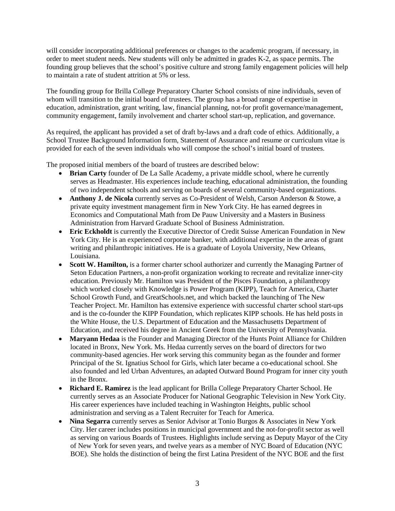will consider incorporating additional preferences or changes to the academic program, if necessary, in order to meet student needs. New students will only be admitted in grades K-2, as space permits. The founding group believes that the school's positive culture and strong family engagement policies will help to maintain a rate of student attrition at 5% or less.

The founding group for Brilla College Preparatory Charter School consists of nine individuals, seven of whom will transition to the initial board of trustees. The group has a broad range of expertise in education, administration, grant writing, law, financial planning, not-for profit governance/management, community engagement, family involvement and charter school start-up, replication, and governance.

As required, the applicant has provided a set of draft by-laws and a draft code of ethics. Additionally, a School Trustee Background Information form, Statement of Assurance and resume or curriculum vitae is provided for each of the seven individuals who will compose the school's initial board of trustees.

The proposed initial members of the board of trustees are described below:

- **Brian Carty** founder of De La Salle Academy, a private middle school, where he currently serves as Headmaster. His experiences include teaching, educational administration, the founding of two independent schools and serving on boards of several community-based organizations.
- **Anthony J. de Nicola** currently serves as Co-President of Welsh, Carson Anderson & Stowe, a private equity investment management firm in New York City. He has earned degrees in Economics and Computational Math from De Pauw University and a Masters in Business Administration from Harvard Graduate School of Business Administration.
- **Eric Eckholdt** is currently the Executive Director of Credit Suisse American Foundation in New York City. He is an experienced corporate banker, with additional expertise in the areas of grant writing and philanthropic initiatives. He is a graduate of Loyola University, New Orleans, Louisiana.
- **Scott W. Hamilton,** is a former charter school authorizer and currently the Managing Partner of Seton Education Partners, a non-profit organization working to recreate and revitalize inner-city education. Previously Mr. Hamilton was President of the Pisces Foundation, a philanthropy which worked closely with Knowledge is Power Program (KIPP), Teach for America, Charter School Growth Fund, and GreatSchools.net, and which backed the launching of The New Teacher Project. Mr. Hamilton has extensive experience with successful charter school start-ups and is the co-founder the KIPP Foundation, which replicates KIPP schools. He has held posts in the White House, the U.S. Department of Education and the Massachusetts Department of Education, and received his degree in Ancient Greek from the University of Pennsylvania.
- **Maryann Hedaa** is the Founder and Managing Director of the Hunts Point Alliance for Children located in Bronx, New York. Ms. Hedaa currently serves on the board of directors for two community-based agencies. Her work serving this community began as the founder and former Principal of the St. Ignatius School for Girls, which later became a co-educational school. She also founded and led Urban Adventures, an adapted Outward Bound Program for inner city youth in the Bronx.
- **Richard E. Ramirez** is the lead applicant for Brilla College Preparatory Charter School. He currently serves as an Associate Producer for National Geographic Television in New York City. His career experiences have included teaching in Washington Heights, public school administration and serving as a Talent Recruiter for Teach for America.
- **Nina Segarra** currently serves as Senior Advisor at Tonio Burgos & Associates in New York City. Her career includes positions in municipal government and the not-for-profit sector as well as serving on various Boards of Trustees. Highlights include serving as Deputy Mayor of the City of New York for seven years, and twelve years as a member of NYC Board of Education (NYC BOE). She holds the distinction of being the first Latina President of the NYC BOE and the first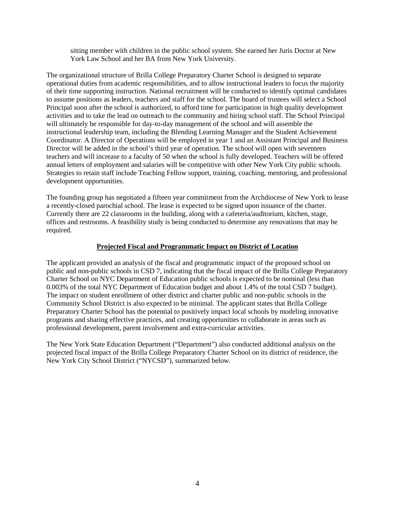sitting member with children in the public school system. She earned her Juris Doctor at New York Law School and her BA from New York University.

The organizational structure of Brilla College Preparatory Charter School is designed to separate operational duties from academic responsibilities, and to allow instructional leaders to focus the majority of their time supporting instruction. National recruitment will be conducted to identify optimal candidates to assume positions as leaders, teachers and staff for the school. The board of trustees will select a School Principal soon after the school is authorized, to afford time for participation in high quality development activities and to take the lead on outreach to the community and hiring school staff. The School Principal will ultimately be responsible for day-to-day management of the school and will assemble the instructional leadership team, including the Blending Learning Manager and the Student Achievement Coordinator. A Director of Operations will be employed in year 1 and an Assistant Principal and Business Director will be added in the school's third year of operation. The school will open with seventeen teachers and will increase to a faculty of 50 when the school is fully developed. Teachers will be offered annual letters of employment and salaries will be competitive with other New York City public schools. Strategies to retain staff include Teaching Fellow support, training, coaching, mentoring, and professional development opportunities.

The founding group has negotiated a fifteen year commitment from the Archdiocese of New York to lease a recently-closed parochial school. The lease is expected to be signed upon issuance of the charter. Currently there are 22 classrooms in the building, along with a cafeteria/auditorium, kitchen, stage, offices and restrooms. A feasibility study is being conducted to determine any renovations that may be required.

# **Projected Fiscal and Programmatic Impact on District of Location**

The applicant provided an analysis of the fiscal and programmatic impact of the proposed school on public and non-public schools in CSD 7, indicating that the fiscal impact of the Brilla College Preparatory Charter School on NYC Department of Education public schools is expected to be nominal (less than 0.003% of the total NYC Department of Education budget and about 1.4% of the total CSD 7 budget). The impact on student enrollment of other district and charter public and non-public schools in the Community School District is also expected to be minimal. The applicant states that Brilla College Preparatory Charter School has the potential to positively impact local schools by modeling innovative programs and sharing effective practices, and creating opportunities to collaborate in areas such as professional development, parent involvement and extra-curricular activities.

The New York State Education Department ("Department") also conducted additional analysis on the projected fiscal impact of the Brilla College Preparatory Charter School on its district of residence, the New York City School District ("NYCSD"), summarized below.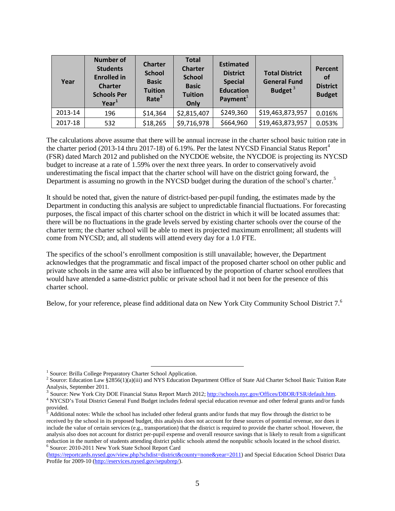| Year    | <b>Number of</b><br><b>Students</b><br><b>Enrolled in</b><br><b>Charter</b><br><b>Schools Per</b><br>Year <sup>1</sup> | <b>Charter</b><br><b>School</b><br><b>Basic</b><br><b>Tuition</b><br>Rate <sup>2</sup> | <b>Total</b><br><b>Charter</b><br><b>School</b><br><b>Basic</b><br><b>Tuition</b><br>Only | <b>Estimated</b><br><b>District</b><br><b>Special</b><br><b>Education</b><br>Payment <sup>1</sup> | <b>Total District</b><br><b>General Fund</b><br>Budget $3$ | <b>Percent</b><br><b>of</b><br><b>District</b><br><b>Budget</b> |
|---------|------------------------------------------------------------------------------------------------------------------------|----------------------------------------------------------------------------------------|-------------------------------------------------------------------------------------------|---------------------------------------------------------------------------------------------------|------------------------------------------------------------|-----------------------------------------------------------------|
| 2013-14 | 196                                                                                                                    | \$14,364                                                                               | \$2,815,407                                                                               | \$249,360                                                                                         | \$19,463,873,957                                           | 0.016%                                                          |
| 2017-18 | 532                                                                                                                    | \$18,265                                                                               | \$9,716,978                                                                               | \$664,960                                                                                         | \$19,463,873,957                                           | 0.053%                                                          |

The calculations above assume that there will be annual increase in the charter school basic tuition rate in the charter period (2013-1[4](#page-5-3) thru 2017-18) of  $6.19\%$ . Per the latest NYCSD Financial Status Report<sup>4</sup> (FSR) dated March 2012 and published on the NYCDOE website, the NYCDOE is projecting its NYCSD budget to increase at a rate of 1.59% over the next three years. In order to conservatively avoid underestimating the fiscal impact that the charter school will have on the district going forward, the Department is assuming no growth in the NYCSD budget during the duration of the school's charter.<sup>[5](#page-5-4)</sup>

It should be noted that, given the nature of district-based per-pupil funding, the estimates made by the Department in conducting this analysis are subject to unpredictable financial fluctuations. For forecasting purposes, the fiscal impact of this charter school on the district in which it will be located assumes that: there will be no fluctuations in the grade levels served by existing charter schools over the course of the charter term; the charter school will be able to meet its projected maximum enrollment; all students will come from NYCSD; and, all students will attend every day for a 1.0 FTE.

The specifics of the school's enrollment composition is still unavailable; however, the Department acknowledges that the programmatic and fiscal impact of the proposed charter school on other public and private schools in the same area will also be influenced by the proportion of charter school enrollees that would have attended a same-district public or private school had it not been for the presence of this charter school.

Below, for your reference, please find additional data on New York City Community School District 7.<sup>[6](#page-5-5)</sup>

l

<span id="page-5-1"></span><span id="page-5-0"></span><sup>&</sup>lt;sup>1</sup> Source: Brilla College Preparatory Charter School Application.<br><sup>2</sup> Source: Education Law §2856(1)(a)(iii) and NYS Education Department Office of State Aid Charter School Basic Tuition Rate<br>Analysis, September 2011.

<span id="page-5-2"></span><sup>&</sup>lt;sup>3</sup> Source: New York City DOE Financial Status Report March 2012; http://schools.nyc.gov/Offices/DBOR/FSR/default.htm.<br><sup>4</sup> NYCSD's Total District General Fund Budget includes federal special education revenue and other fed

<span id="page-5-3"></span>provided.

<span id="page-5-4"></span><sup>5</sup> Additional notes: While the school has included other federal grants and/or funds that may flow through the district to be received by the school in its proposed budget, this analysis does not account for these sources of potential revenue, nor does it include the value of certain services (e.g., transportation) that the district is required to provide the charter school. However, the analysis also does not account for district per-pupil expense and overall resource savings that is likely to result from a significant reduction in the number of students attending district public schools attend the nonpublic schools located in the school district. 6 Source: 2010-2011 New York State School Report Card

<span id="page-5-5"></span>[<sup>\(</sup>https://reportcards.nysed.gov/view.php?schdist=district&county=none&year=2011\)](https://reportcards.nysed.gov/view.php?schdist=district&county=none&year=2011) and Special Education School District Data Profile for 2009-10 [\(http://eservices.nysed.gov/sepubrep/\)](http://eservices.nysed.gov/sepubrep/).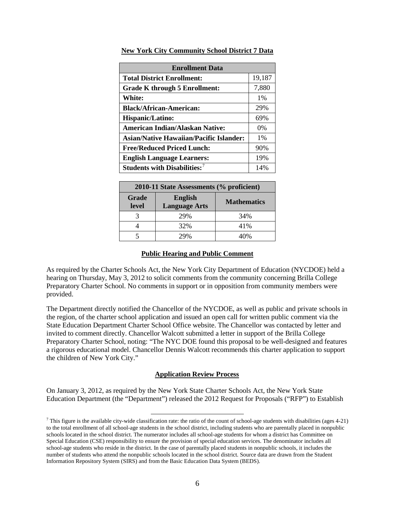| <b>Enrollment Data</b>                         |        |  |  |  |
|------------------------------------------------|--------|--|--|--|
| <b>Total District Enrollment:</b>              | 19,187 |  |  |  |
| Grade K through 5 Enrollment:                  | 7,880  |  |  |  |
| <b>White:</b>                                  | $1\%$  |  |  |  |
| <b>Black/African-American:</b>                 | 29%    |  |  |  |
| Hispanic/Latino:                               | 69%    |  |  |  |
| American Indian/Alaskan Native:                | $0\%$  |  |  |  |
| <b>Asian/Native Hawaiian/Pacific Islander:</b> | $1\%$  |  |  |  |
| <b>Free/Reduced Priced Lunch:</b>              | 90%    |  |  |  |
| <b>English Language Learners:</b>              | 19%    |  |  |  |
| Students with Disabilities: <sup>7</sup>       | 14%    |  |  |  |

**New York City Community School District 7 Data**

| 2010-11 State Assessments (% proficient) |                                        |                    |  |  |  |
|------------------------------------------|----------------------------------------|--------------------|--|--|--|
| Grade<br>level                           | <b>English</b><br><b>Language Arts</b> | <b>Mathematics</b> |  |  |  |
|                                          | 29%                                    | 34%                |  |  |  |
|                                          | 32%                                    | 41%                |  |  |  |
|                                          | $90\%$                                 | $10\%$             |  |  |  |

#### **Public Hearing and Public Comment**

As required by the Charter Schools Act, the New York City Department of Education (NYCDOE) held a hearing on Thursday, May 3, 2012 to solicit comments from the community concerning Brilla College Preparatory Charter School. No comments in support or in opposition from community members were provided.

The Department directly notified the Chancellor of the NYCDOE, as well as public and private schools in the region, of the charter school application and issued an open call for written public comment via the State Education Department Charter School Office website. The Chancellor was contacted by letter and invited to comment directly. Chancellor Walcott submitted a letter in support of the Brilla College Preparatory Charter School, noting: "The NYC DOE found this proposal to be well-designed and features a rigorous educational model. Chancellor Dennis Walcott recommends this charter application to support the children of New York City."

#### **Application Review Process**

On January 3, 2012, as required by the New York State Charter Schools Act, the New York State Education Department (the "Department") released the 2012 Request for Proposals ("RFP") to Establish

l

<span id="page-6-0"></span><sup>&</sup>lt;sup>7</sup> This figure is the available city-wide classification rate: the ratio of the count of school-age students with disabilities (ages 4-21) to the total enrollment of all school-age students in the school district, including students who are parentally placed in nonpublic schools located in the school district. The numerator includes all school-age students for whom a district has Committee on Special Education (CSE) responsibility to ensure the provision of special education services. The denominator includes all school-age students who reside in the district. In the case of parentally placed students in nonpublic schools, it includes the number of students who attend the nonpublic schools located in the school district. Source data are drawn from the Student Information Repository System (SIRS) and from the Basic Education Data System (BEDS).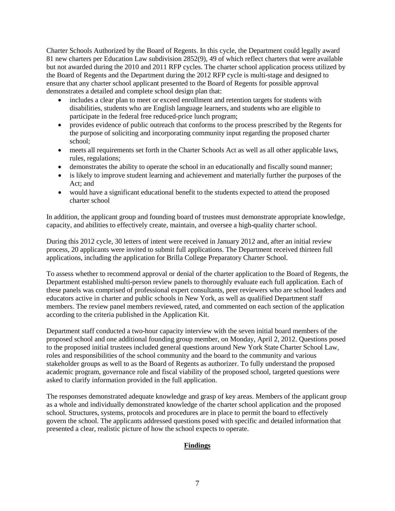Charter Schools Authorized by the Board of Regents. In this cycle, the Department could legally award 81 new charters per Education Law subdivision 2852(9), 49 of which reflect charters that were available but not awarded during the 2010 and 2011 RFP cycles. The charter school application process utilized by the Board of Regents and the Department during the 2012 RFP cycle is multi-stage and designed to ensure that any charter school applicant presented to the Board of Regents for possible approval demonstrates a detailed and complete school design plan that:

- includes a clear plan to meet or exceed enrollment and retention targets for students with disabilities, students who are English language learners, and students who are eligible to participate in the federal free reduced-price lunch program;
- provides evidence of public outreach that conforms to the process prescribed by the Regents for the purpose of soliciting and incorporating community input regarding the proposed charter school;
- meets all requirements set forth in the Charter Schools Act as well as all other applicable laws, rules, regulations;
- demonstrates the ability to operate the school in an educationally and fiscally sound manner;
- is likely to improve student learning and achievement and materially further the purposes of the Act; and
- would have a significant educational benefit to the students expected to attend the proposed charter school

In addition, the applicant group and founding board of trustees must demonstrate appropriate knowledge, capacity, and abilities to effectively create, maintain, and oversee a high-quality charter school.

During this 2012 cycle, 30 letters of intent were received in January 2012 and, after an initial review process, 20 applicants were invited to submit full applications. The Department received thirteen full applications, including the application for Brilla College Preparatory Charter School.

To assess whether to recommend approval or denial of the charter application to the Board of Regents, the Department established multi-person review panels to thoroughly evaluate each full application. Each of these panels was comprised of professional expert consultants, peer reviewers who are school leaders and educators active in charter and public schools in New York, as well as qualified Department staff members. The review panel members reviewed, rated, and commented on each section of the application according to the criteria published in the Application Kit.

Department staff conducted a two-hour capacity interview with the seven initial board members of the proposed school and one additional founding group member, on Monday, April 2, 2012. Questions posed to the proposed initial trustees included general questions around New York State Charter School Law, roles and responsibilities of the school community and the board to the community and various stakeholder groups as well to as the Board of Regents as authorizer. To fully understand the proposed academic program, governance role and fiscal viability of the proposed school, targeted questions were asked to clarify information provided in the full application.

The responses demonstrated adequate knowledge and grasp of key areas. Members of the applicant group as a whole and individually demonstrated knowledge of the charter school application and the proposed school. Structures, systems, protocols and procedures are in place to permit the board to effectively govern the school. The applicants addressed questions posed with specific and detailed information that presented a clear, realistic picture of how the school expects to operate.

# **Findings**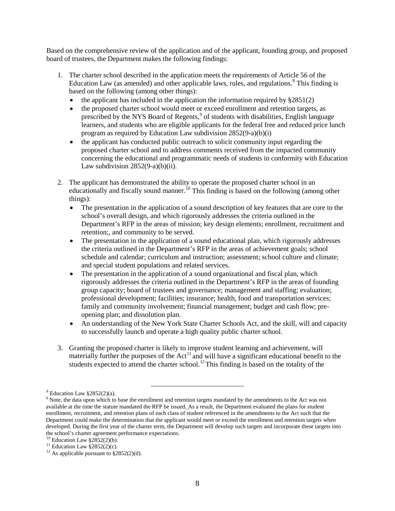Based on the comprehensive review of the application and of the applicant, founding group, and proposed board of trustees, the Department makes the following findings:

- 1. The charter school described in the application meets the requirements of Article 56 of the Education Law (as amended) and other applicable laws, rules, and regulations.<sup>[8](#page-8-0)</sup> This finding is based on the following (among other things):
	- the applicant has included in the application the information required by  $§2851(2)$
	- the proposed charter school would meet or exceed enrollment and retention targets, as prescribed by the NYS Board of Regents,<sup>[9](#page-8-1)</sup> of students with disabilities, English language learners, and students who are eligible applicants for the federal free and reduced price lunch program as required by Education Law subdivision 2852(9-a)(b)(i)
	- the applicant has conducted public outreach to solicit community input regarding the proposed charter school and to address comments received from the impacted community concerning the educational and programmatic needs of students in conformity with Education Law subdivision  $2852(9-a)(b)(ii)$ .
- 2. The applicant has demonstrated the ability to operate the proposed charter school in an educationally and fiscally sound manner.<sup>[10](#page-8-2)</sup> This finding is based on the following (among other things):
	- The presentation in the application of a sound description of key features that are core to the school's overall design, and which rigorously addresses the criteria outlined in the Department's RFP in the areas of mission; key design elements; enrollment, recruitment and retention;, and community to be served.
	- The presentation in the application of a sound educational plan, which rigorously addresses the criteria outlined in the Department's RFP in the areas of achievement goals; school schedule and calendar; curriculum and instruction; assessment; school culture and climate; and special student populations and related services.
	- The presentation in the application of a sound organizational and fiscal plan, which rigorously addresses the criteria outlined in the Department's RFP in the areas of founding group capacity; board of trustees and governance; management and staffing; evaluation; professional development; facilities; insurance; health, food and transportation services; family and community involvement; financial management; budget and cash flow; preopening plan; and dissolution plan.
	- An understanding of the New York State Charter Schools Act, and the skill, will and capacity to successfully launch and operate a high quality public charter school.
- 3. Granting the proposed charter is likely to improve student learning and achievement, will materially further the purposes of the  $Act<sup>11</sup>$  $Act<sup>11</sup>$  $Act<sup>11</sup>$  and will have a significant educational benefit to the students expected to attend the charter school.<sup>[12](#page-8-4)</sup> This finding is based on the totality of the

l

 $8$  Education Law  $$2852(2)(a)$ .

<span id="page-8-1"></span><span id="page-8-0"></span><sup>&</sup>lt;sup>9</sup> Note, the data upon which to base the enrollment and retention targets mandated by the amendments to the Act was not available at the time the statute mandated the RFP be issued. As a result, the Department evaluated the plans for student enrollment, recruitment, and retention plans of each class of student referenced in the amendments to the Act such that the Department could make the determination that the applicant would meet or exceed the enrollment and retention targets when developed. During the first year of the charter term, the Department will develop such targets and incorporate these targets into the school's charter agreement performance expectations.<br><sup>10</sup> Education Law §2852(2)(b).

<span id="page-8-2"></span>

<span id="page-8-4"></span><span id="page-8-3"></span><sup>&</sup>lt;sup>11</sup> Education Law §2852(2)(c). <sup>12</sup> As applicable pursuant to §2852(2)(d).